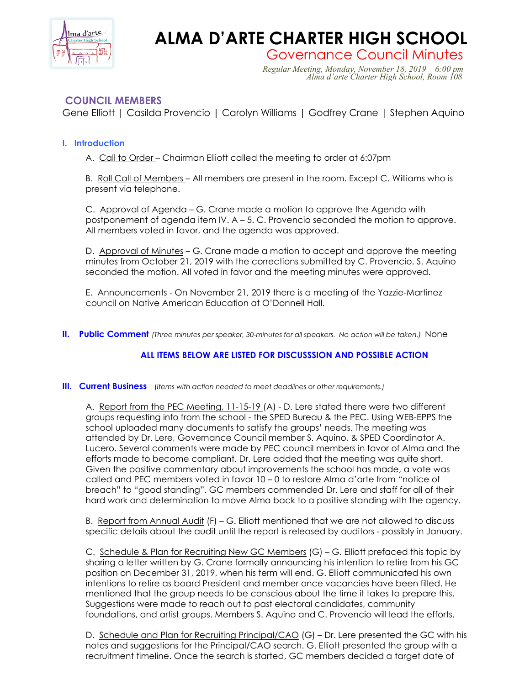

# **ALMA D'ARTE CHARTER HIGH SCHOOL**

Governance Council Minutes *Regular Meeting, Monday, November 18, 2019 6:00 pm Alma d'arte Charter High School, Room 108*

## **COUNCIL MEMBERS**

Gene Elliott | Casilda Provencio | Carolyn Williams | Godfrey Crane | Stephen Aquino

## **I. Introduction**

A. Call to Order – Chairman Elliott called the meeting to order at 6:07pm

B. Roll Call of Members – All members are present in the room. Except C. Williams who is present via telephone.

C. Approval of Agenda – G. Crane made a motion to approve the Agenda with postponement of agenda item IV. A – 5. C. Provencio seconded the motion to approve. All members voted in favor, and the agenda was approved.

D. Approval of Minutes – G. Crane made a motion to accept and approve the meeting minutes from October 21, 2019 with the corrections submitted by C. Provencio. S. Aquino seconded the motion. All voted in favor and the meeting minutes were approved.

E. Announcements - On November 21, 2019 there is a meeting of the Yazzie-Martinez council on Native American Education at O'Donnell Hall.

**II. Public Comment** *(Three minutes per speaker, 30-minutes for all speakers. No action will be taken.)* None

## **ALL ITEMS BELOW ARE LISTED FOR DISCUSSSION AND POSSIBLE ACTION**

#### **III. Current Business** (*Items with action needed to meet deadlines or other requirements.)*

A. Report from the PEC Meeting, 11-15-19 (A) - D. Lere stated there were two different groups requesting info from the school - the SPED Bureau & the PEC. Using WEB-EPPS the school uploaded many documents to satisfy the groups' needs. The meeting was attended by Dr. Lere, Governance Council member S. Aquino, & SPED Coordinator A. Lucero. Several comments were made by PEC council members in favor of Alma and the efforts made to become compliant. Dr. Lere added that the meeting was quite short. Given the positive commentary about improvements the school has made, a vote was called and PEC members voted in favor 10 – 0 to restore Alma d'arte from "notice of breach" to "good standing". GC members commended Dr. Lere and staff for all of their hard work and determination to move Alma back to a positive standing with the agency.

B. Report from Annual Audit (F) – G. Elliott mentioned that we are not allowed to discuss specific details about the audit until the report is released by auditors - possibly in January.

C. Schedule & Plan for Recruiting New GC Members (G) – G. Elliott prefaced this topic by sharing a letter written by G. Crane formally announcing his intention to retire from his GC position on December 31, 2019, when his term will end. G. Elliott communicated his own intentions to retire as board President and member once vacancies have been filled. He mentioned that the group needs to be conscious about the time it takes to prepare this. Suggestions were made to reach out to past electoral candidates, community foundations, and artist groups. Members S. Aquino and C. Provencio will lead the efforts.

D. Schedule and Plan for Recruiting Principal/CAO (G) - Dr. Lere presented the GC with his notes and suggestions for the Principal/CAO search. G. Elliott presented the group with a recruitment timeline. Once the search is started, GC members decided a target date of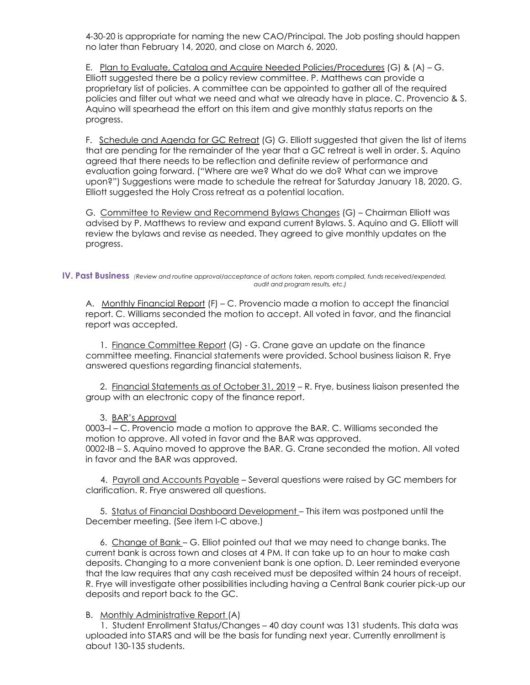4-30-20 is appropriate for naming the new CAO/Principal. The Job posting should happen no later than February 14, 2020, and close on March 6, 2020.

E. Plan to Evaluate, Catalog and Acquire Needed Policies/Procedures (G) & (A) – G. Elliott suggested there be a policy review committee. P. Matthews can provide a proprietary list of policies. A committee can be appointed to gather all of the required policies and filter out what we need and what we already have in place. C. Provencio & S. Aquino will spearhead the effort on this item and give monthly status reports on the progress.

F. Schedule and Agenda for GC Retreat (G) G. Elliott suggested that given the list of items that are pending for the remainder of the year that a GC retreat is well in order. S. Aquino agreed that there needs to be reflection and definite review of performance and evaluation going forward. ("Where are we? What do we do? What can we improve upon?") Suggestions were made to schedule the retreat for Saturday January 18, 2020. G. Elliott suggested the Holy Cross retreat as a potential location.

G. Committee to Review and Recommend Bylaws Changes (G) - Chairman Elliott was advised by P. Matthews to review and expand current Bylaws. S. Aquino and G. Elliott will review the bylaws and revise as needed. They agreed to give monthly updates on the progress.

#### **IV. Past Business** *(Review and routine approval/acceptance of actions taken, reports compiled, funds received/expended, audit and program results, etc.)*

A. Monthly Financial Report (F) – C. Provencio made a motion to accept the financial report. C. Williams seconded the motion to accept. All voted in favor, and the financial report was accepted.

1. Finance Committee Report (G) - G. Crane gave an update on the finance committee meeting. Financial statements were provided. School business liaison R. Frye answered questions regarding financial statements.

 2. Financial Statements as of October 31, 2019 – R. Frye, business liaison presented the group with an electronic copy of the finance report.

### 3. BAR's Approval

0003–I – C. Provencio made a motion to approve the BAR. C. Williams seconded the motion to approve. All voted in favor and the BAR was approved. 0002-IB – S. Aquino moved to approve the BAR. G. Crane seconded the motion. All voted in favor and the BAR was approved.

 4. Payroll and Accounts Payable – Several questions were raised by GC members for clarification. R. Frye answered all questions.

 5. Status of Financial Dashboard Development – This item was postponed until the December meeting. (See item I-C above.)

 6. Change of Bank – G. Elliot pointed out that we may need to change banks. The current bank is across town and closes at 4 PM. It can take up to an hour to make cash deposits. Changing to a more convenient bank is one option. D. Leer reminded everyone that the law requires that any cash received must be deposited within 24 hours of receipt. R. Frye will investigate other possibilities including having a Central Bank courier pick-up our deposits and report back to the GC.

### B. Monthly Administrative Report (A)

 1. Student Enrollment Status/Changes – 40 day count was 131 students. This data was uploaded into STARS and will be the basis for funding next year. Currently enrollment is about 130-135 students.